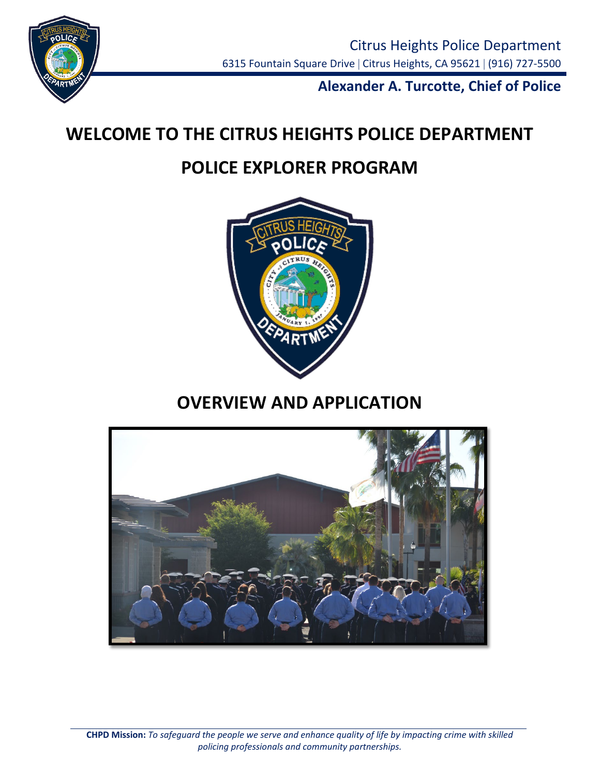

**Alexander A. Turcotte, Chief of Police**

# **WELCOME TO THE CITRUS HEIGHTS POLICE DEPARTMENT**

## **POLICE EXPLORER PROGRAM**



## **OVERVIEW AND APPLICATION**

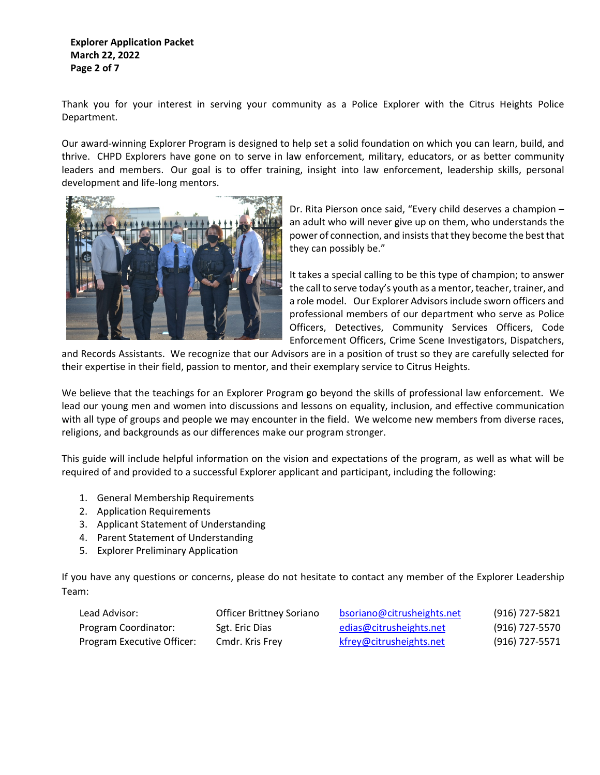**Explorer Application Packet March 22, 2022 Page 2 of 7**

Thank you for your interest in serving your community as a Police Explorer with the Citrus Heights Police Department.

Our award-winning Explorer Program is designed to help set a solid foundation on which you can learn, build, and thrive. CHPD Explorers have gone on to serve in law enforcement, military, educators, or as better community leaders and members. Our goal is to offer training, insight into law enforcement, leadership skills, personal development and life-long mentors.



Dr. Rita Pierson once said, "Every child deserves a champion – an adult who will never give up on them, who understands the power of connection, and insists that they become the best that they can possibly be."

It takes a special calling to be this type of champion; to answer the call to serve today's youth as a mentor, teacher, trainer, and a role model. Our Explorer Advisors include sworn officers and professional members of our department who serve as Police Officers, Detectives, Community Services Officers, Code Enforcement Officers, Crime Scene Investigators, Dispatchers,

and Records Assistants. We recognize that our Advisors are in a position of trust so they are carefully selected for their expertise in their field, passion to mentor, and their exemplary service to Citrus Heights.

We believe that the teachings for an Explorer Program go beyond the skills of professional law enforcement. We lead our young men and women into discussions and lessons on equality, inclusion, and effective communication with all type of groups and people we may encounter in the field. We welcome new members from diverse races, religions, and backgrounds as our differences make our program stronger.

This guide will include helpful information on the vision and expectations of the program, as well as what will be required of and provided to a successful Explorer applicant and participant, including the following:

- 1. General Membership Requirements
- 2. Application Requirements
- 3. Applicant Statement of Understanding
- 4. Parent Statement of Understanding
- 5. Explorer Preliminary Application

If you have any questions or concerns, please do not hesitate to contact any member of the Explorer Leadership Team:

| Lead Advisor:              | Officer Brittney Soriano | bsoriano@citrusheights.net | (916) 727-5821 |
|----------------------------|--------------------------|----------------------------|----------------|
| Program Coordinator:       | Sgt. Eric Dias           | edias@citrusheights.net    | (916) 727-5570 |
| Program Executive Officer: | Cmdr. Kris Frey          | kfrey@citrusheights.net    | (916) 727-5571 |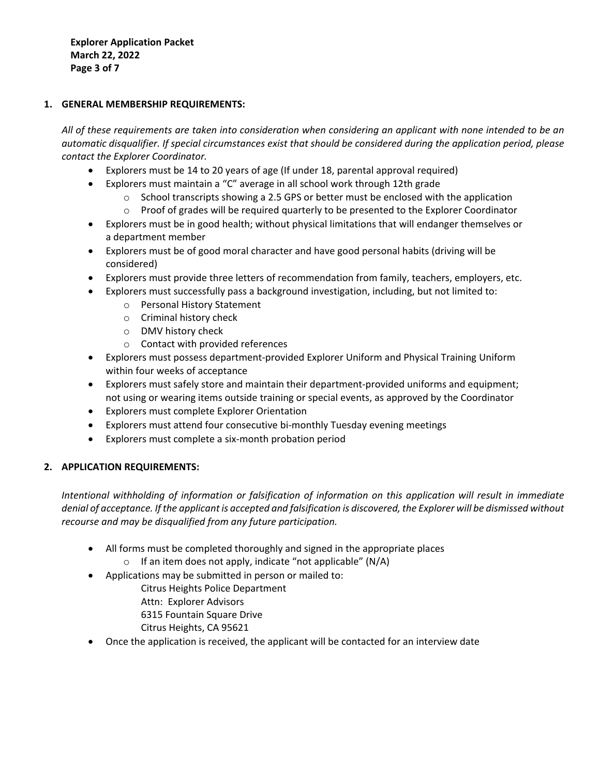**Explorer Application Packet March 22, 2022 Page 3 of 7**

#### **1. GENERAL MEMBERSHIP REQUIREMENTS:**

*All of these requirements are taken into consideration when considering an applicant with none intended to be an automatic disqualifier. If special circumstances exist that should be considered during the application period, please contact the Explorer Coordinator.* 

- Explorers must be 14 to 20 years of age (If under 18, parental approval required)
- Explorers must maintain a "C" average in all school work through 12th grade
	- $\circ$  School transcripts showing a 2.5 GPS or better must be enclosed with the application
	- $\circ$  Proof of grades will be required quarterly to be presented to the Explorer Coordinator
- Explorers must be in good health; without physical limitations that will endanger themselves or a department member
- Explorers must be of good moral character and have good personal habits (driving will be considered)
- Explorers must provide three letters of recommendation from family, teachers, employers, etc.
- Explorers must successfully pass a background investigation, including, but not limited to:
	- o Personal History Statement
	- o Criminal history check
	- o DMV history check
	- o Contact with provided references
- Explorers must possess department-provided Explorer Uniform and Physical Training Uniform within four weeks of acceptance
- Explorers must safely store and maintain their department-provided uniforms and equipment; not using or wearing items outside training or special events, as approved by the Coordinator
- Explorers must complete Explorer Orientation
- Explorers must attend four consecutive bi-monthly Tuesday evening meetings
- Explorers must complete a six-month probation period

### **2. APPLICATION REQUIREMENTS:**

*Intentional withholding of information or falsification of information on this application will result in immediate denial of acceptance. If the applicant is accepted and falsification is discovered, the Explorer will be dismissed without recourse and may be disqualified from any future participation.* 

- All forms must be completed thoroughly and signed in the appropriate places
- $\circ$  If an item does not apply, indicate "not applicable" (N/A)
- Applications may be submitted in person or mailed to:
	- Citrus Heights Police Department
	- Attn: Explorer Advisors
	- 6315 Fountain Square Drive
	- Citrus Heights, CA 95621
- Once the application is received, the applicant will be contacted for an interview date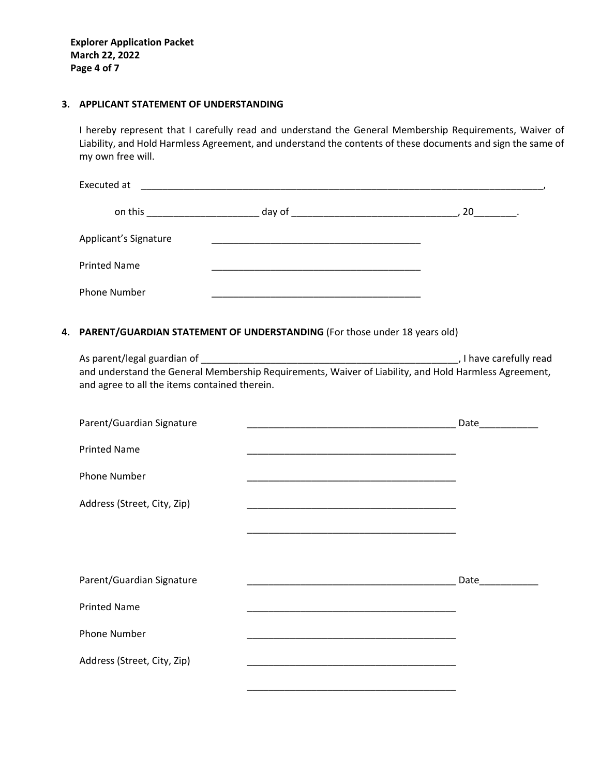**Explorer Application Packet March 22, 2022 Page 4 of 7**

#### **3. APPLICANT STATEMENT OF UNDERSTANDING**

I hereby represent that I carefully read and understand the General Membership Requirements, Waiver of Liability, and Hold Harmless Agreement, and understand the contents of these documents and sign the same of my own free will.

| Executed at                                  |        |                  |
|----------------------------------------------|--------|------------------|
| on this<br>the control of the control of the | day of | , 20 __________. |
| Applicant's Signature                        |        |                  |
| <b>Printed Name</b>                          |        |                  |
| <b>Phone Number</b>                          |        |                  |

#### **4. PARENT/GUARDIAN STATEMENT OF UNDERSTANDING** (For those under 18 years old)

| As parent/legal guardian of                                                                           | , I have carefully read |
|-------------------------------------------------------------------------------------------------------|-------------------------|
| and understand the General Membership Requirements, Waiver of Liability, and Hold Harmless Agreement, |                         |
| and agree to all the items contained therein.                                                         |                         |

| Parent/Guardian Signature   | <u> 1989 - Johann John Harry Harry Harry Harry Harry Harry Harry Harry Harry Harry Harry Harry Harry Harry Harry</u>                                                                                                          | Date |
|-----------------------------|-------------------------------------------------------------------------------------------------------------------------------------------------------------------------------------------------------------------------------|------|
| <b>Printed Name</b>         |                                                                                                                                                                                                                               |      |
| <b>Phone Number</b>         |                                                                                                                                                                                                                               |      |
| Address (Street, City, Zip) | the control of the control of the control of the control of the control of the control of the control of the control of the control of the control of the control of the control of the control of the control of the control |      |
|                             |                                                                                                                                                                                                                               |      |
|                             |                                                                                                                                                                                                                               |      |
| Parent/Guardian Signature   | <u> 1989 - Johann John Stone, mars eta biztanleria (</u>                                                                                                                                                                      | Date |
| <b>Printed Name</b>         |                                                                                                                                                                                                                               |      |
| <b>Phone Number</b>         |                                                                                                                                                                                                                               |      |
| Address (Street, City, Zip) | the control of the control of the control of the control of the control of the control of the control of the control of the control of the control of the control of the control of the control of the control of the control |      |
|                             |                                                                                                                                                                                                                               |      |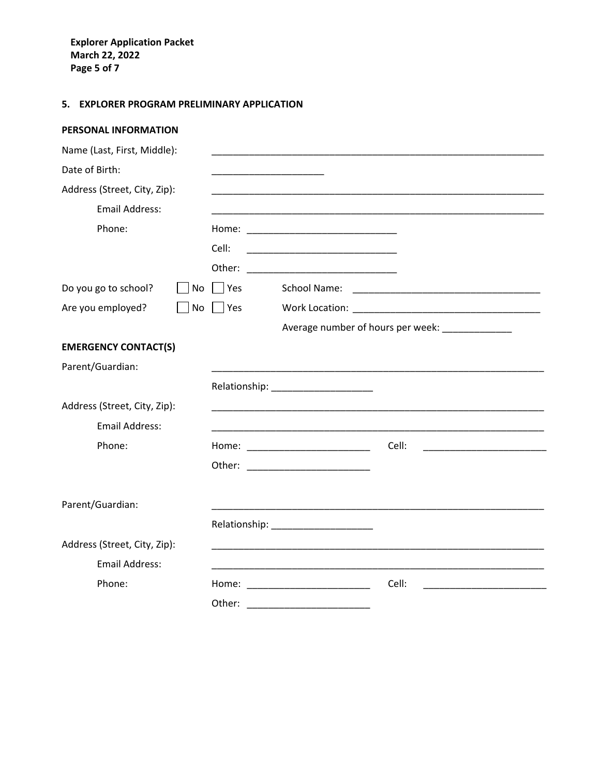**Explorer Application Packet March 22, 2022 Page 5 of 7**

## **5. EXPLORER PROGRAM PRELIMINARY APPLICATION**

#### **PERSONAL INFORMATION**

| Name (Last, First, Middle):  |            |                                                                                                                                                                                                                                         |
|------------------------------|------------|-----------------------------------------------------------------------------------------------------------------------------------------------------------------------------------------------------------------------------------------|
| Date of Birth:               |            |                                                                                                                                                                                                                                         |
| Address (Street, City, Zip): |            |                                                                                                                                                                                                                                         |
| <b>Email Address:</b>        |            |                                                                                                                                                                                                                                         |
| Phone:                       |            |                                                                                                                                                                                                                                         |
|                              | Cell:      |                                                                                                                                                                                                                                         |
|                              | Other:     |                                                                                                                                                                                                                                         |
| Do you go to school?<br>No   | Yes        | School Name:                                                                                                                                                                                                                            |
| Are you employed?<br>No      | <b>Yes</b> |                                                                                                                                                                                                                                         |
|                              |            | Average number of hours per week: ____________                                                                                                                                                                                          |
| <b>EMERGENCY CONTACT(S)</b>  |            |                                                                                                                                                                                                                                         |
| Parent/Guardian:             |            |                                                                                                                                                                                                                                         |
|                              |            | Relationship: ________________________                                                                                                                                                                                                  |
| Address (Street, City, Zip): |            |                                                                                                                                                                                                                                         |
| <b>Email Address:</b>        |            |                                                                                                                                                                                                                                         |
| Phone:                       |            | Cell:<br>Home: ________________________                                                                                                                                                                                                 |
|                              |            |                                                                                                                                                                                                                                         |
| Parent/Guardian:             |            |                                                                                                                                                                                                                                         |
|                              |            | Relationship: _____________________                                                                                                                                                                                                     |
| Address (Street, City, Zip): |            |                                                                                                                                                                                                                                         |
| <b>Email Address:</b>        |            |                                                                                                                                                                                                                                         |
| Phone:                       |            | Cell:<br>Home: Now and the second state of the second state of the second state of the second state of the second state of the second state of the second state of the second state of the second state of the second state of the seco |
|                              | Other:     |                                                                                                                                                                                                                                         |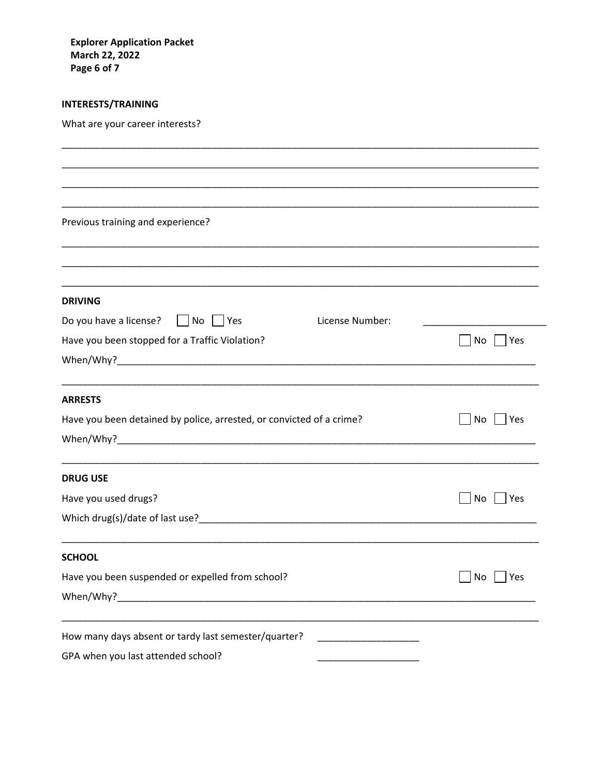**Explorer Application Packet March 22, 2022** Page 6 of 7

### **INTERESTS/TRAINING**

What are your career interests?

| Previous training and experience?                                    |                                         |                   |
|----------------------------------------------------------------------|-----------------------------------------|-------------------|
|                                                                      |                                         |                   |
|                                                                      |                                         |                   |
|                                                                      |                                         |                   |
| <b>DRIVING</b>                                                       |                                         |                   |
| Do you have a license? $\Box$ No $\Box$ Yes                          | License Number:                         |                   |
| Have you been stopped for a Traffic Violation?                       |                                         | $ $ Yes<br>No     |
|                                                                      |                                         |                   |
|                                                                      |                                         |                   |
| <b>ARRESTS</b>                                                       |                                         |                   |
| Have you been detained by police, arrested, or convicted of a crime? |                                         | $ $ Yes<br>  No   |
|                                                                      |                                         |                   |
|                                                                      |                                         |                   |
| <b>DRUG USE</b>                                                      |                                         |                   |
| Have you used drugs?                                                 |                                         | $ $   Yes<br>  No |
|                                                                      |                                         |                   |
|                                                                      |                                         |                   |
| <b>SCHOOL</b>                                                        |                                         |                   |
| Have you been suspended or expelled from school?                     |                                         | No<br>Yes         |
|                                                                      |                                         |                   |
|                                                                      |                                         |                   |
| How many days absent or tardy last semester/quarter?                 | <u> 1990 - Johann Barbara, martin a</u> |                   |
| GPA when you last attended school?                                   |                                         |                   |
|                                                                      |                                         |                   |